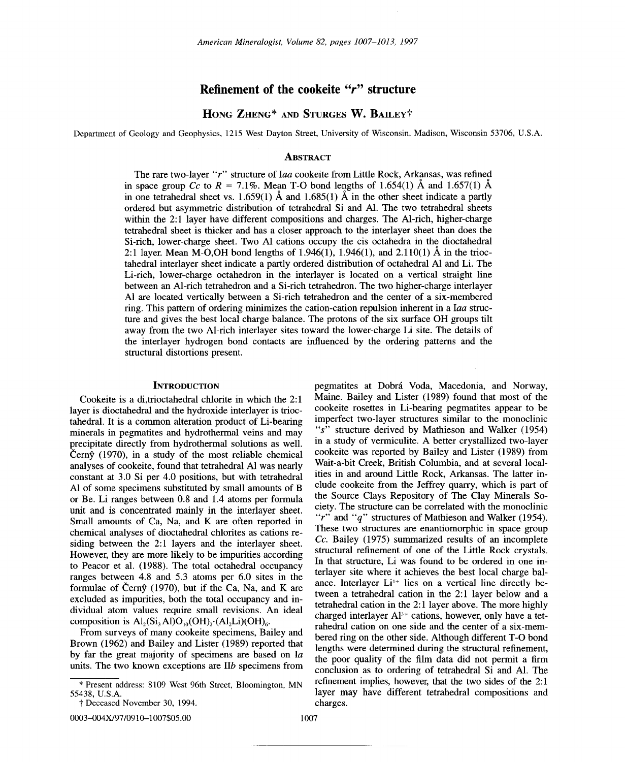## **Refinement of the cookeite** *"r"* **structure**

# HONG ZHENG\* AND STURGES **W.** BAILEyt

Department of Geology and Geophysics, 1215 West Dayton Street, University of Wisconsin, Madison, Wisconsin 53706, U.S.A.

#### **ABSTRACT**

The rare two-layer *"r"* structure of *Iaa* cookeite from Little Rock, Arkansas, was refined in space group  $C_c$  to  $R = 7.1\%$ . Mean T-O bond lengths of 1.654(1)  $\AA$  and 1.657(1)  $\AA$ in one tetrahedral sheet vs. 1.659(1)  $\AA$  and 1.685(1)  $\AA$  in the other sheet indicate a partly ordered but asymmetric distribution of tetrahedral Si and AI. The two tetrahedral sheets within the 2:1 layer have different compositions and charges. The Al-rich, higher-charge tetrahedral sheet is thicker and has a closer approach to the interlayer sheet than does the Si-rich, lower-charge sheet. Two Al cations occupy the cis octahedra in the dioctahedral 2:1 layer. Mean M-O,OH bond lengths of 1.946(1), 1.946(1), and 2.110(1)  $\AA$  in the trioctahedral interlayer sheet indicate a partly ordered distribution of octahedral Al and Li. The Li-rich, lower-charge octahedron in the interlayer is located on a vertical straight line between an AI-rich tetrahedron and a Si-rich tetrahedron. The two higher-charge interlayer Al are located vertically between a Si-rich tetrahedron and the center of a six-membered ring. This pattern of ordering minimizes the cation-cation repulsion inherent in a *Iaa* structure and gives the best local charge balance. The protons of the six surface OH groups tilt away from the two AI-rich interlayer sites toward the lower-charge Li site. The details of the interlayer hydrogen bond contacts are influenced by the ordering patterns and the structural distortions present.

## **INTRODUCTION**

Cookeite is a di,trioctahedral chlorite in which the 2: 1 layer is dioctahedral and the hydroxide interlayer is trioctahedral. It is a common alteration product of Li-bearing minerals in pegmatites and hydrothermal veins and may precipitate directly from hydrothermal solutions as well. Čern $\hat{y}$  (1970), in a study of the most reliable chemical analyses of cookeite, found that tetrahedral Al was nearly constant at 3.0 Si per 4.0 positions, but with tetrahedral Al of some specimens substituted by small amounts of B or Be. Li ranges between 0.8 and 1.4 atoms per formula unit and is concentrated mainly in the interlayer sheet. Small amounts of Ca, Na, and K are often reported in chemical analyses of dioctahedral chlorites as cations residing between the 2:1 layers and the interlayer sheet. However, they are more likely to be impurities according to Peacor et al. (1988). The total octahedral occupancy ranges between 4.8 and 5.3 atoms per 6.0 sites in the formulae of Čern $\hat{y}$  (1970), but if the Ca, Na, and K are excluded as impurities, both the total occupancy and individual atom values require small revisions. An ideal composition is  $\text{Al}_2(\text{Si}_3\text{Al})\text{O}_{10}(\text{OH})_2$ .  $(\text{Al}_2\text{Li})(\text{OH})_6$ .

From surveys of many cookeite specimens, Bailey and Brown (1962) and Bailey and Lister (1989) reported that by far the great majority of specimens are based on *Ia* units. The two known exceptions are *lIb* specimens from

0003-004X/97 /0910-1007\$05.00

pegmatites at Dobra Voda, Macedonia, and Norway, Maine. Bailey and Lister (1989) found that most of the cookeite rosettes in Li-bearing pegmatites appear to be imperfect two-layer structures similar to the monoclinic *"s"* structure derived by Mathieson and Walker (1954) in a study of vermiculite. A better crystallized two-layer cookeite was reported by Bailey and Lister (1989) from Wait-a-bit Creek, British Columbia, and at several localities in and around Little Rock, Arkansas. The latter include cookeite from the Jeffrey quarry, which is part of the Source Clays Repository of The Clay Minerals Society. The structure can be correlated with the monoclinic *"r"* and *"q"* structures of Mathieson and Walker (1954). These two structures are enantiomorphic in space group *Ce.* Bailey (1975) summarized results of an incomplete structural refinement of one of the Little Rock crystals. In that structure, Li was found to be ordered in one interlayer site where it achieves the best local charge balance. Interlayer  $Li^{1+}$  lies on a vertical line directly between a tetrahedral cation in the 2:1 layer below and a tetrahedral cation in the 2: 1 layer above. The more highly charged interlayer  $Al^{3+}$  cations, however, only have a tetrahedral cation on one side and the center of a six-membered ring on the other side. Although different T-0 bond lengths were determined during the structural refinement, the poor quality of the film data did not permit a firm conclusion as to ordering of tetrahedral Si and AI. The refinement implies, however, that the two sides of the 2: 1 layer may have different tetrahedral compositions and charges.

<sup>55438,</sup> U.S.A Present address: 8109 West 96th Street, Bloomington, MN

t Deceased November 30, 1994.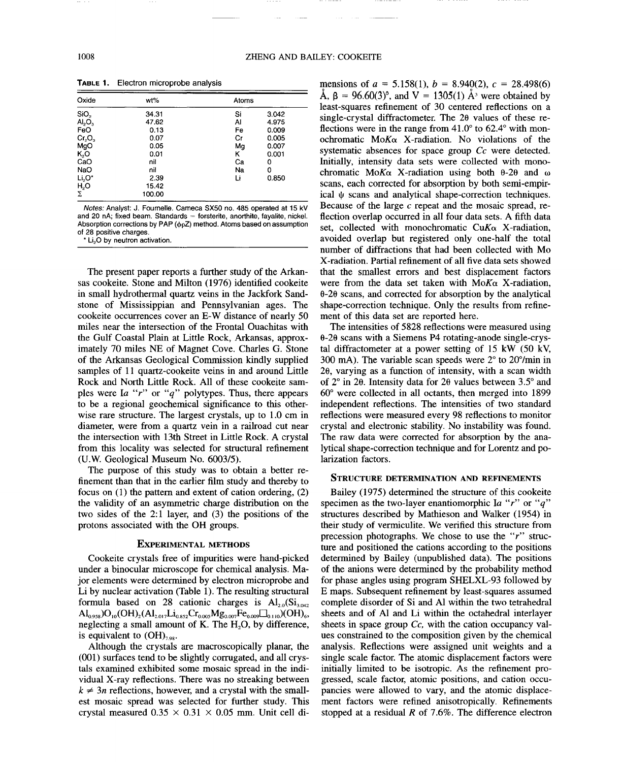| Oxide                          | wt%    | Atoms |       |  |
|--------------------------------|--------|-------|-------|--|
| SiO <sub>2</sub>               | 34.31  | Si    | 3.042 |  |
| AI <sub>2</sub> O <sub>3</sub> | 47.62  | Al    | 4.975 |  |
| FeO                            | 0.13   | Fe    | 0.009 |  |
| $Cr_2O_3$                      | 0.07   | Cr    | 0.005 |  |
| MgO                            | 0.05   | Mg    | 0.007 |  |
| $K_2O$                         | 0.01   | κ     | 0.001 |  |
| CaO                            | nil    | Ca    | 0     |  |
| NaO                            | nil    | Na    | 0     |  |
| $Li2O*$                        | 2.39   | Li    | 0.850 |  |
| $H_2O$                         | 15.42  |       |       |  |
| $\Sigma$                       | 100.00 |       |       |  |

TABLE 1. Electron microprobe analysis

*Notes:* Analyst: J. Fournelle. Cameca SX50 no. 485 operated at 15 kV and 20 nA; fixed beam. Standards = forsterite, anorthite, fayalite, nickel Absorption corrections by PAP ( $\phi$ <sub>P</sub>Z) method. Atoms based on assumption of 28 positive charges.

\* Li,O by neutron activation.

The present paper reports a further study of the Arkansas cookeite. Stone and Milton (1976) identified cookeite in small hydrothermal quartz veins in the Jackfork Sandstone of Mississippian and Pennsylvanian ages. The cookeite occurrences cover an E-W distance of nearly 50 miles near the intersection of the Frontal Ouachitas with the Gulf Coastal Plain at Little Rock, Arkansas, approximately 70 miles NE of Magnet Cove. Charles G. Stone of the Arkansas Geological Commission kindly supplied samples of 11 quartz-cookeite veins in and around Little Rock and North Little Rock. All of these cookeite samples were *Ia "r"* or *"q"* polytypes. Thus, there appears to be a regional geochemical significance to this otherwise rare structure. The largest crystals, up to 1.0 cm in diameter, were from a quartz vein in a railroad cut near the intersection with 13th Street in Little Rock. A crystal from this locality was selected for structural refinement (U.w. Geological Museum No. 6003/5).

The purpose of this study was to obtain a better refinement than that in the earlier film study and thereby to focus on (1) the pattern and extent of cation ordering, (2) the validity of an asymmetric charge distribution on the two sides of the 2:1 layer, and  $(3)$  the positions of the protons associated with the OH groups.

## EXPERIMENTAL METHODS

Cookeite crystals free of impurities were hand-picked under a binocular microscope for chemical analysis. Major elements were determined by electron microprobe and Li by nuclear activation (Table 1). The resulting structural formula based on 28 cationic charges is  $Al_{20}(Si_{3.042})$  $\text{Al}_{0.958}$ ) $\text{O}_{10}(\text{OH})_{2}(\text{Al}_{2.017}\text{Li}_{0.852}\text{Cr}_{0.005}\text{Mg}_{0.007}\text{Fe}_{0.009}\square_{0.110}) (\text{OH})_{6}$ , neglecting a small amount of K. The  $H<sub>2</sub>O$ , by difference, is equivalent to  $(OH)_{7.98}$ .

Although the crystals are macroscopically planar, the (001) surfaces tend to be slightly corrugated, and all crystals examined exhibited some mosaic spread in the individual X-ray reflections. There was no streaking between  $k \neq 3n$  reflections, however, and a crystal with the smallest mosaic spread was selected for further study. This crystal measured  $0.35 \times 0.31 \times 0.05$  mm. Unit cell dimensions of  $a = 5.158(1)$ ,  $b = 8.940(2)$ ,  $c = 28.498(6)$ A,  $\beta = 96.60(3)$ <sup>o</sup>, and V = 1305(1) A<sup>3</sup> were obtained by least-squares refinement of 30 centered reflections on a single-crystal diffractometer. The 28 values of these reflections were in the range from 41.0° to 62.4° with monochromatic *MoKu* X-radiation. No violations of the systematic absences for space group *Cc* were detected. Initially, intensity data sets were collected with monochromatic Mo $K\alpha$  X-radiation using both  $\theta$ -2 $\theta$  and  $\omega$ scans, each corrected for absorption by both semi-empirical  $\psi$  scans and analytical shape-correction techniques. Because of the large *c* repeat and the mosaic spread, reflection overlap occurred in all four data sets. A fifth data set, collected with monochromatic *CuKa* X-radiation, avoided overlap but registered only one-half the total number of diffractions that had been collected with Mo X-radiation. Partial refinement of all five data sets showed that the smallest errors and best displacement factors were from the data set taken with  $M \circ K \circ X$ -radiation, 8-28 scans, and corrected for absorption by the analytical shape-correction technique. Only the results from refinement of this data set are reported here.

The intensities of 5828 reflections were measured using  $\theta$ -2 $\theta$  scans with a Siemens P4 rotating-anode single-crystal diffractometer at a power setting of 15 kW (50 kV, 300 mA). The variable scan speeds were  $2^{\circ}$  to  $20^{\circ}$ /min in 28, varying as a function of intensity, with a scan width of  $2^{\circ}$  in  $2\theta$ . Intensity data for  $2\theta$  values between  $3.5^{\circ}$  and 60° were collected in all octants, then merged into 1899 independent reflections. The intensities of two standard reflections were measured every 98 reflections to monitor crystal and electronic stability. No instability was found. The raw data were corrected for absorption by the analytical shape-correction technique and for Lorentz and polarization factors.

## STRUCTURE DETERMINATION AND REFINEMENTS

Bailey (1975) determined the structure of this cookeite specimen as the two-layer enantiomorphic *Ia "r"* or *"q"* structures described by Mathieson and Walker (1954) in their study of vermiculite. We verified this structure from precession photographs. We chose to use the *"r"* structure and positioned the cations according to the positions determined by Bailey (unpublished data). The positions of the anions were determined by the probability method for phase angles using program SHELXL-93 followed by E maps. Subsequent refinement by least-squares assumed complete disorder of Si and Al within the two tetrahedral sheets and of Al and Li within the octahedral interlayer sheets in space group *Cc,* with the cation occupancy values constrained to the composition given by the chemical analysis. Reflections were assigned unit weights and a single scale factor. The atomic displacement factors were initially limited to be isotropic. As the refinement progressed, scale factor, atomic positions, and cation occupancies were allowed to vary, and the atomic displacement factors were refined anisotropically. Refinements stopped at a residual *R* of 7.6%. The difference electron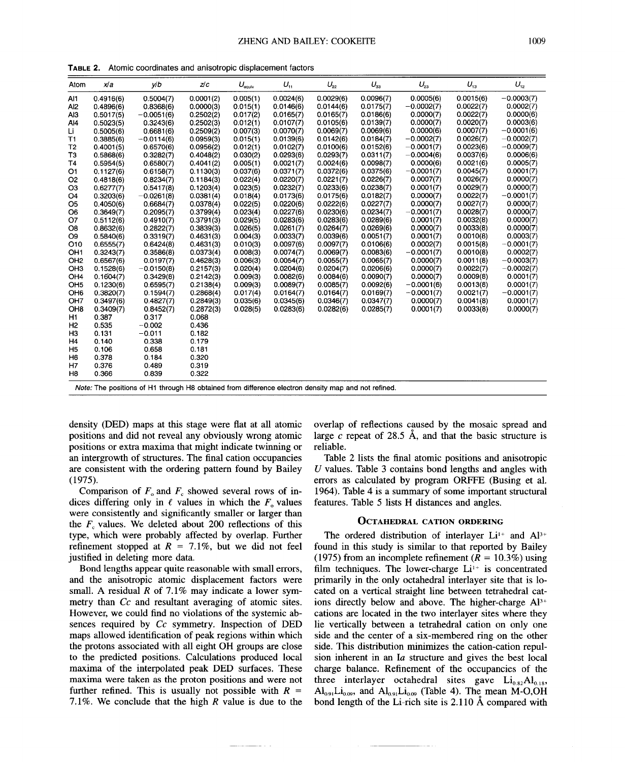| Atom            | x/a       | V/D          | z/c       | $U_{\text{equiv}}$ | $U_{11}$  | $U_{22}$  | $U_{33}$  | $U_{23}$     | $U_{13}$  | $U_{12}$     |
|-----------------|-----------|--------------|-----------|--------------------|-----------|-----------|-----------|--------------|-----------|--------------|
| Al1             | 0.4916(6) | 0.5004(7)    | 0.0001(2) | 0.005(1)           | 0.0024(6) | 0.0029(6) | 0.0096(7) | 0.0005(6)    | 0.0015(6) | $-0.0003(7)$ |
| Al2             | 0.4896(6) | 0.8368(6)    | 0.0000(3) | 0.015(1)           | 0.0146(6) | 0.0144(6) | 0.0175(7) | $-0.0002(7)$ | 0.0022(7) | 0.0002(7)    |
| AIЗ             | 0.5017(5) | $-0.0051(6)$ | 0.2502(2) | 0.017(2)           | 0.0165(7) | 0.0165(7) | 0.0186(6) | 0.0000(7)    | 0.0022(7) | 0.0000(6)    |
| A14             | 0.5023(5) | 0.3243(6)    | 0.2502(3) | 0.012(1)           | 0.0107(7) | 0.0105(6) | 0.0139(7) | 0.0000(7)    | 0.0020(7) | 0.0003(6)    |
| Li              | 0.5005(6) | 0.6681(6)    | 0.2509(2) | 0.007(3)           | 0.0070(7) | 0.0069(7) | 0.0069(6) | 0.0000(6)    | 0.0007(7) | $-0.0001(6)$ |
| T1              | 0.3885(6) | $-0.0114(6)$ | 0.0959(3) | 0.015(1)           | 0.0139(6) | 0.0142(6) | 0.0184(7) | $-0.0002(7)$ | 0.0026(7) | $-0.0002(7)$ |
| T2              | 0.4001(5) | 0.6570(6)    | 0.0956(2) | 0.012(1)           | 0.0102(7) | 0.0100(6) | 0.0152(6) | $-0.0001(7)$ | 0.0023(6) | $-0.0009(7)$ |
| ТЗ              | 0.5868(6) | 0.3282(7)    | 0.4048(2) | 0.030(2)           | 0.0293(6) | 0.0293(7) | 0.0311(7) | $-0.0004(6)$ | 0.0037(6) | 0.0006(6)    |
| T4              | 0.5954(5) | 0.6580(7)    | 0.4041(2) | 0.005(1)           | 0.0021(7) | 0.0024(6) | 0.0098(7) | 0.0000(6)    | 0.0021(6) | 0.0005(7)    |
| О1              | 0.1127(6) | 0.6158(7)    | 0.1130(3) | 0.037(6)           | 0.0371(7) | 0.0372(6) | 0.0375(6) | $-0.0001(7)$ | 0.0045(7) | 0.0001(7)    |
| O2              | 0.4818(6) | 0.8234(7)    | 0.1184(3) | 0.022(4)           | 0.0220(7) | 0.0221(7) | 0.0226(7) | 0.0007(7)    | 0.0026(7) | 0.0000(7)    |
| O3              | 0.6277(7) | 0.5417(8)    | 0.1203(4) | 0.023(5)           | 0.0232(7) | 0.0233(6) | 0.0238(7) | 0.0001(7)    | 0.0029(7) | 0.0000(7)    |
| O4              | 0.3203(6) | $-0.0261(8)$ | 0.0381(4) | 0.018(4)           | 0.0173(6) | 0.0175(6) | 0.0182(7) | 0.0000(7)    | 0.0022(7) | $-0.0001(7)$ |
| O5              | 0.4050(6) | 0.6684(7)    | 0.0378(4) | 0.022(5)           | 0.0220(6) | 0.0222(6) | 0.0227(7) | 0.0000(7)    | 0.0027(7) | 0.0000(7)    |
| O6              | 0.3649(7) | 0.2095(7)    | 0.3799(4) | 0.023(4)           | 0.0227(6) | 0.0230(6) | 0.0234(7) | $-0.0001(7)$ | 0.0028(7) | 0.0000(7)    |
| 07              | 0.5112(6) | 0.4910(7)    | 0.3791(3) | 0.029(5)           | 0.0283(6) | 0.0283(6) | 0.0289(6) | 0.0001(7)    | 0.0032(8) | 0.0000(7)    |
| O8              | 0.8632(6) | 0.2822(7)    | 0.3839(3) | 0.026(5)           | 0.0261(7) | 0.0264(7) | 0.0269(6) | 0.0000(7)    | 0.0033(8) | 0.0000(7)    |
| O9              | 0.5840(6) | 0.3319(7)    | 0.4631(3) | 0.004(3)           | 0.0033(7) | 0.0039(6) | 0.0051(7) | 0.0001(7)    | 0.0010(8) | 0.0003(7)    |
| O10             | 0.6555(7) | 0.6424(8)    | 0.4631(3) | 0.010(3)           | 0.0097(6) | 0.0097(7) | 0.0106(6) | 0.0002(7)    | 0.0015(8) | $-0.0001(7)$ |
| OH1             | 0.3243(7) | 0.3586(8)    | 0.0373(4) | 0.008(3)           | 0.0074(7) | 0.0069(7) | 0.0083(6) | $-0.0001(7)$ | 0.0010(8) | 0.0002(7)    |
| OH <sub>2</sub> | 0.6567(6) | 0.0197(7)    | 0.4628(3) | 0.006(3)           | 0.0054(7) | 0.0055(7) | 0.0065(7) | 0.0000(7)    | 0.0011(8) | $-0.0003(7)$ |
| OH <sub>3</sub> | 0.1528(6) | $-0.0150(8)$ | 0.2157(3) | 0.020(4)           | 0.0204(6) | 0.0204(7) | 0.0206(6) | 0.0000(7)    | 0.0022(7) | $-0.0002(7)$ |
| OH4             | 0.1604(7) | 0.3429(8)    | 0.2142(3) | 0.009(3)           | 0.0082(6) | 0.0084(6) | 0.0090(7) | 0.0000(7)    | 0.0009(8) | 0.0001(7)    |
| OH <sub>5</sub> | 0.1230(6) | 0.6595(7)    | 0.2138(4) | 0.009(3)           | 0.0089(7) | 0.0085(7) | 0.0092(6) | $-0.0001(6)$ | 0.0013(8) | 0.0001(7)    |
| OH <sub>6</sub> | 0.3820(7) | 0.1594(7)    | 0.2868(4) | 0.017(4)           | 0.0164(7) | 0.0164(7) | 0.0169(7) | $-0.0001(7)$ | 0.0021(7) | $-0.0001(7)$ |
| OH <sub>7</sub> | 0.3497(6) | 0.4827(7)    | 0.2849(3) | 0.035(6)           | 0.0345(6) | 0.0346(7) | 0.0347(7) | 0.0000(7)    | 0.0041(8) | 0.0001(7)    |
| OH <sub>8</sub> | 0.3409(7) | 0.8452(7)    | 0.2872(3) | 0.028(5)           | 0.0283(6) | 0.0282(6) | 0.0285(7) | 0.0001(7)    | 0.0033(8) | 0.0000(7)    |
| H1              | 0.387     | 0.317        | 0.068     |                    |           |           |           |              |           |              |
| H <sub>2</sub>  | 0.535     | $-0.002$     | 0.436     |                    |           |           |           |              |           |              |
| нз              | 0.131     | $-0.011$     | 0.182     |                    |           |           |           |              |           |              |
| Η4              | 0.140     | 0.338        | 0.179     |                    |           |           |           |              |           |              |
| H5              | 0.106     | 0.658        | 0.181     |                    |           |           |           |              |           |              |
| H6              | 0.378     | 0.184        | 0.320     |                    |           |           |           |              |           |              |
| Η7              | 0.376     | 0.489        | 0.319     |                    |           |           |           |              |           |              |
| H8              | 0.366     | 0.839        | 0.322     |                    |           |           |           |              |           |              |

TABLE 2. Atomic coordinates and anisotropic displacement factors

Note: The positions of H1 through H8 obtained from difference electron density map and not refined.

density (DED) maps at this stage were flat at all atomic positions and did not reveal any obviously wrong atomic positions or extra maxima that might indicate twinning or an intergrowth of structures. The final cation occupancies are consistent with the ordering pattern found by Bailey (1975).

Comparison of  $F<sub>o</sub>$  and  $F<sub>c</sub>$  showed several rows of indices differing only in  $\ell$  values in which the  $F_0$  values were consistently and significantly smaller or larger than the  $F<sub>e</sub>$  values. We deleted about 200 reflections of this type, which were probably affected by overlap. Further refinement stopped at  $R = 7.1\%$ , but we did not feel justified in deleting more data.

Bond lengths appear quite reasonable with small errors, and the anisotropic atomic displacement factors were small. A residual  $R$  of 7.1% may indicate a lower symmetry than *Cc* and resultant averaging of atomic sites. However, we could find no violations of the systemic absences required by *Cc* symmetry. Inspection of DED maps allowed identification of peak regions within which the protons associated with all eight OH groups are close to the predicted positions. Calculations produced local maxima of the interpolated peak DED surfaces. These maxima were taken as the proton positions and were not further refined. This is usually not possible with  $R =$ 7.1 %. We conclude that the high *R* value is due to the

overlap of reflections caused by the mosaic spread and large  $c$  repeat of 28.5  $\AA$ , and that the basic structure is reliable.

Table 2 lists the final atomic positions and anisotropic *U* values. Table 3 contains bond lengths and angles with errors as calculated by program ORFFE (Busing et al. 1964). Table 4 is a summary of some important structural features. Table 5 lists H distances and angles.

## OCTAHEDRAL CATION ORDERING

The ordered distribution of interlayer  $Li^{1+}$  and  $Al^{3+}$ found in this study is similar to that reported by Bailey (1975) from an incomplete refinement  $(R = 10.3\%)$  using film techniques. The lower-charge  $Li^{+}$  is concentrated primarily in the only octahedral interlayer site that is located on a vertical straight line between tetrahedral cations directly below and above. The higher-charge  $Al^{3+}$ cations are located in the two interlayer sites where they lie vertically between a tetrahedral cation on only one side and the center of a six-membered ring on the other side. This distribution minimizes the cation-cation repulsion inherent in an Ia structure and gives the best local charge balance. Refinement of the occupancies of the three interlayer octahedral sites gave  $Li_{0.82}Al_{0.18}$ ,  $\text{Al}_{0.91}\text{Li}_{0.09}$ , and  $\text{Al}_{0.91}\text{Li}_{0.09}$  (Table 4). The mean M-O,OH bond length of the Li-rich site is  $2.110 \text{ Å}$  compared with

-..---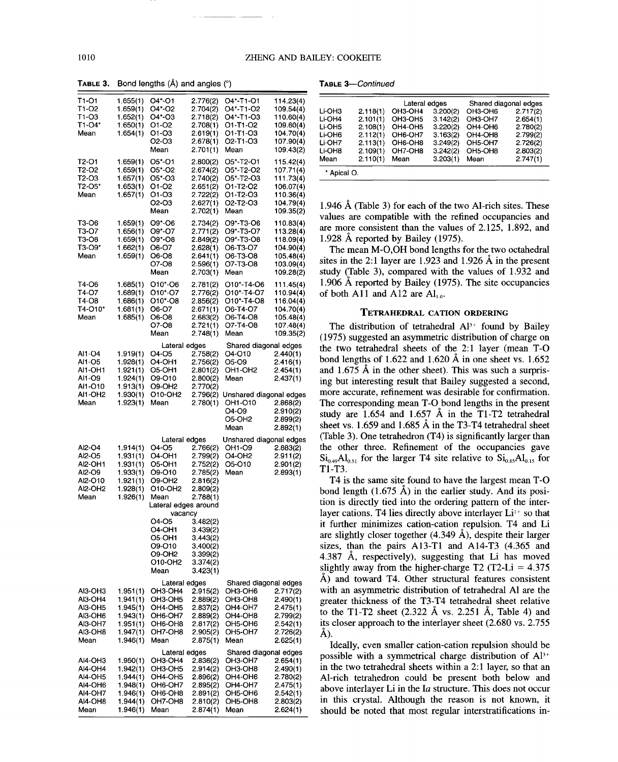--.\_-

| T1-01<br>T1-O2<br>T1-O3<br>T1-O4*<br>Mean                                  | 1.655(1)<br>1.659(1)<br>1.652(1)<br>$1.650(1)$ O1-O2<br>1.654(1)       | $O4*-O1$<br>$O4^*$ -O <sub>2</sub><br>O4*-O3<br>O1-O3                                                                                   | 2.776(2)<br>2.704(2)<br>2.718(2)                                                 | O <sub>4</sub> *-T <sub>1</sub> -O <sub>1</sub><br>O <sub>4</sub> *-T <sub>1</sub> -O <sub>2</sub><br>O4*-T1-O3<br>2.708(1) O1-T1-O2<br>$2.619(1)$ O1-T1-O3                                       | 114.23(4)<br>109.54(4)<br>110.60(4)<br>109.60(4)<br>104.70(4)                                | Lateral edges<br>Shared diagonal edges<br>Li OH3<br>2.118(1)<br>OH3-OH4<br>3.200(2)<br>OH3-OH6<br>2.717(2)<br>Li OH4<br>2.101(1)<br>OH3-OH5<br>3.142(2)<br>OH3-OH7<br>2.654(1)<br>Li-OH <sub>5</sub><br>OH4-OH5<br>3.220(2)<br>OH4-OH6<br>2108(1)<br>2.780(2)<br>Li-OH6<br>2.112(1)<br>OH6-OH7<br>3.163(2)<br>OH4-OH8<br>2.799(2)                                                                                                                                                              |
|----------------------------------------------------------------------------|------------------------------------------------------------------------|-----------------------------------------------------------------------------------------------------------------------------------------|----------------------------------------------------------------------------------|---------------------------------------------------------------------------------------------------------------------------------------------------------------------------------------------------|----------------------------------------------------------------------------------------------|------------------------------------------------------------------------------------------------------------------------------------------------------------------------------------------------------------------------------------------------------------------------------------------------------------------------------------------------------------------------------------------------------------------------------------------------------------------------------------------------|
| T2-O1                                                                      | $1.659(1)$ O5*-O1                                                      | O2-O3<br>Mean                                                                                                                           | 2.678(1)<br>2.701(1)<br>2.800(2)                                                 | O <sub>2</sub> -T <sub>1</sub> -O <sub>3</sub><br>Mean<br>O5*-T2-O1                                                                                                                               | 107.90(4)<br>109.43(2)<br>115.42(4)                                                          | Li-OH7<br>2.113(1)<br>OH6-OH8<br>3.249(2)<br>OH5-OH7<br>2.726(2)<br>Li-OH8<br>2.109(1)<br>OH7-OH8<br>3.242(2)<br>OH5-OH8<br>2.803(2)<br>Mean<br>2.110(1)<br>2.747(1)<br>Mean<br>3.203(1)<br>Mean                                                                                                                                                                                                                                                                                               |
| T2-O2<br>T2-O3<br>T2-O5*<br>Mean                                           | $1.659(1)$ O5*-O2<br>$1.657(1)$ O5*-O3<br>$1.653(1)$ O1-O2<br>1.657(1) | 01-03<br>O2-O3<br>Mean                                                                                                                  | 2.674(2)<br>2.740(2)<br>2.702(1)                                                 | O5*-T2-O2<br>O5*-T2-O3<br>2.651(2) O1-T2-O2<br>2.722(2) O1-T2-O3<br>2.627(1) O2-T2-O3<br>Mean                                                                                                     | 107.71(4)<br>111.73(4)<br>106.07(4)<br>110.36(4)<br>104.79(4)<br>109.35(2)                   | * Apical O.<br>1.946 Å (Table 3) for each of the two Al-rich sites. These<br>values are compatible with the refined occupancies and                                                                                                                                                                                                                                                                                                                                                            |
| T3-O6<br>T3-O7<br>T3-O8<br>T3-O9*<br>Mean                                  | 1.659(1)<br>1.656(1)<br>$1.659(1)$ O9*-O8<br>1.662(1)<br>1.659(1)      | O9*-O6<br>O9*-O7<br>O6-O7<br>O6-O8<br>O7-O8<br>Mean                                                                                     | 2.734(2)<br>2.771(2)<br>2.849(2)<br>2.628(1)<br>2.641(1)<br>2.596(1)<br>2.703(1) | O9*-T3-O6<br>O9*-T3-O7<br>O9*-T3-O8<br>O6-T3-O7<br>O6-T3-O8<br>O7-T3-O8<br>Mean                                                                                                                   | 110.83(4)<br>113.28(4)<br>118.09(4)<br>104.90(4)<br>105.48(4)<br>103.09(4)<br>109.28(2)      | are more consistent than the values of 2.125, 1.892, and<br>1.928 Å reported by Bailey (1975).<br>The mean M-O,OH bond lengths for the two octahedral<br>sites in the 2:1 layer are 1.923 and 1.926 $\AA$ in the present<br>study (Table 3), compared with the values of 1.932 and                                                                                                                                                                                                             |
| T4-O6<br>T4-O7<br>T4-08<br>T4-O10*<br>Mean                                 | 1.685(1)<br>1.689(1)<br>1.686(1)<br>1.681(1)<br>1.685(1)               | O10*-O6<br>010*-07<br>O10*-O8<br>O6-O7<br>O6-O8<br>O7-O8<br>Mean                                                                        | 2.776(2)<br>2.856(2)<br>2.683(2)<br>2.721(1)<br>2.748(1)                         | 2.781(2) O10*-T4-O6<br>O10*-T4-O7<br>O10*-T4-O8<br>2.671(1) O6-T4-O7<br>O6-T4-O8<br>O7-T4-O8<br>Mean                                                                                              | 111.45(4)<br>110.94(4)<br>116.04(4)<br>104.70(4)<br>105.48(4)<br>107.48(4)<br>109.35(2)      | 1.906 A reported by Bailey (1975). The site occupancies<br>of both A11 and A12 are $Al_{1,0}$ .<br><b>TETRAHEDRAL CATION ORDERING</b><br>The distribution of tetrahedral Al <sup>3+</sup> found by Bailey<br>(1975) suggested an asymmetric distribution of charge on                                                                                                                                                                                                                          |
| AI1-04<br>AI1-O5<br>AI1-OH1<br>AI1-O9<br>AI1-010<br>AI1-OH2<br>Mean        | 1.919(1)<br>1.923(1) Mean                                              | Lateral edges<br>O4-O5<br>$1.928(1)$ O4-OH1<br>1.921(1) O5-OH1<br>1.924(1) O9-O10<br>1.913(1) O9-OH2<br>1.930(1) O10-OH2                | 2.758(2)<br>2.756(2)<br>2.800(2)<br>2.770(2)<br>2.780(1)                         | Shared diagonal edges<br>O <sub>4</sub> -O <sub>10</sub><br>O5-O9<br>$2.801(2)$ OH <sub>1</sub> OH <sub>2</sub><br>Mean<br>2.796(2) Unshared diagonal edges<br>OH1-O10<br>O4-O9<br>05-OH2<br>Mean | 2.440(1)<br>2.416(1)<br>2.454(1)<br>2.437(1)<br>2.868(2)<br>2.910(2)<br>2.899(2)<br>2.892(1) | the two tetrahedral sheets of the 2:1 layer (mean T-C<br>bond lengths of 1.622 and 1.620 $\AA$ in one sheet vs. 1.652<br>and $1.675$ Å in the other sheet). This was such a surpris-<br>ing but interesting result that Bailey suggested a second,<br>more accurate, refinement was desirable for confirmation<br>The corresponding mean T-O bond lengths in the present<br>study are 1.654 and 1.657 Å in the T1-T2 tetrahedral<br>sheet vs. 1.659 and 1.685 Å in the T3-T4 tetrahedral sheet |
| Al2-04<br>AI2-O5<br><b>AI2-OH1</b><br>AI2-O9<br>Al2-010<br>AI2-OH2<br>Mean | $1.914(1)$ O4-O5<br>1.931(1)<br>1.931(1)<br>1.928(1)<br>1.926(1)       | Lateral edges<br>O4-OH1<br>O5-OH1<br>$1.933(1)$ O9-O10<br>1.921(1) O9-OH2<br>O10-OH2<br>Mean<br>Lateral edges around                    | 2.785(2)<br>2.816(2)<br>2.809(2)<br>2.788(1)                                     | Unshared diagonal edges<br>2.766(2) OH1-O9<br>2.799(2) O4-OH2<br>2.752(2) O5-O10<br>Mean                                                                                                          | 2.883(2)<br>2.911(2)<br>2.901(2)<br>2.893(1)                                                 | (Table 3). One tetrahedron (T4) is significantly larger than<br>the other three. Refinement of the occupancies gave<br>$Si0.49Al0.51$ for the larger T4 site relative to $Si0.85Al0.15$ for<br>T1-T3.<br>T4 is the same site found to have the largest mean T-C<br>bond length (1.675 Å) in the earlier study. And its posi-<br>tion is directly tied into the ordering pattern of the inter-                                                                                                  |
|                                                                            |                                                                        | vacancy<br>O4-O5<br>O4-OH1<br>O5-OH1<br>O9-O10<br>O9-OH2<br>O10-OH2<br>Mean                                                             | 3.482(2)<br>3.439(2)<br>3.443(2)<br>3.400(2)<br>3.399(2)<br>3.374(2)<br>3.423(1) |                                                                                                                                                                                                   |                                                                                              | layer cations. T4 lies directly above interlayer $Li^{1+}$ so that<br>it further minimizes cation-cation repulsion. T4 and Li<br>are slightly closer together $(4.349 \text{ Å})$ , despite their larger<br>sizes, than the pairs A13-T1 and A14-T3 (4.365 and<br>4.387 Å, respectively), suggesting that Li has moved<br>slightly away from the higher-charge T2 (T2-Li = $4.375$ )                                                                                                           |
| AI3-OH3<br>AI3-OH4<br>AI3-OH5<br>AI3-OH6<br>AI3-OH7<br>AI3-OH8<br>Mean     | 1.946(1) Mean                                                          | Lateral edges<br>1.951(1) OH3-OH4<br>1.941(1) OH3-OH5<br>1.945(1) OH4-OH5<br>1.943(1) OH6-OH7<br>$1.951(1)$ OH6-OH8<br>1.947(1) OH7-OH8 | 2.915(2)<br>2.889(2)<br>2.837(2)<br>2.875(1) Mean                                | Shared diagonal edges<br>OH3-OH6<br>OH3-OH8<br>OH4-OH7<br>2.889(2) OH4-OH8<br>$2.817(2)$ OH <sub>5</sub> -OH <sub>6</sub><br>2.905(2) OH5-OH7                                                     | 2.717(2)<br>2.490(1)<br>2.475(1)<br>2.799(2)<br>2.542(1)<br>2.726(2)<br>2.625(1)             | Å) and toward T4. Other structural features consistent<br>with an asymmetric distribution of tetrahedral Al are the<br>greater thickness of the T3-T4 tetrahedral sheet relative<br>to the T1-T2 sheet (2.322 Å vs. 2.251 Å, Table 4) and<br>its closer approach to the interlayer sheet (2.680 vs. 2.755<br>A).<br>Ideally, even smaller cation-cation repulsion should be                                                                                                                    |
| AI4-OH3<br>AI4-OH4<br>AI4-OH5<br>AI4-OH6<br>AI4-OH7<br>AI4-OH8             | 1.942(1)                                                               | Lateral edges<br>1.950(1) OH3-OH4<br>OH3-OH5<br>1.944(1) OH4-OH5<br>1.948(1) OH6-OH7<br>$1.946(1)$ OH6-OH8<br>1.944(1) OH7-OH8          |                                                                                  | Shared diagonal edges<br>2.836(2) OH3-OH7<br>2.914(2) OH3-OH8<br>2.896(2) OH4-OH6<br>2.895(2) OH4-OH7<br>$2.891(2)$ OH <sub>5</sub> -OH <sub>6</sub><br>2.810(2) OH5-OH8                          | 2.654(1)<br>2.490(1)<br>2.780(2)<br>2.475(1)<br>2.542(1)<br>2.803(2)                         | possible with a symmetrical charge distribution of Al <sup>3+</sup><br>in the two tetrahedral sheets within a 2:1 layer, so that are<br>Al-rich tetrahedron could be present both below and<br>above interlayer Li in the Ia structure. This does not occur<br>in this crystal. Although the reason is not known, if                                                                                                                                                                           |

**TABLE 3.** Bond lengths  $(\hat{A})$  and angles  $(°)$  TABLE 3-Continued

| O4*-O1<br>O4*-O2<br>O4*-O3<br>01-02<br>O1-O3<br>O2-O3<br>Mean<br>O5*-O1 | 2.619(1)<br>2.701(1)<br>2.800(2) | 2.776(2) O4*-T1-O1<br>2.704(2) O4*-T1-O2<br>2.718(2) 04*-T1-03<br>2.708(1) O1-T1-O2<br>O1-T1-O3<br>2.678(1) O2-T1-O3<br>Mean<br>O5*-T2-O1 | 114.23(4)<br>109.54(4)<br>110.60(4)<br>109.60(4)<br>104.70(4)<br>107.90(4)<br>109.43(2)<br>115.42(4) | Li-OH3<br>Li OH4<br>Li-OH5<br>Li-OH6<br>Li-OH7<br>Li-OH8<br>Mean | 2.118(1)<br>2.101(1)<br>2.108(1)<br>2.112(1)<br>2.113(1)<br>2.109(1)<br>2.110(1) | Lateral edges<br>OH3-OH4<br>OH3-OH5<br>OH4-OH5<br>OH6-OH7<br>OH6-OH8<br>OH7-OH8<br>Mean | 3.200(2)<br>3.142(2)<br>3.220(2)<br>3.163(2)<br>3.249(2)<br>3.242(2)<br>3.203(1) | Shared diagonal edges<br>ОНЗ-ОН6<br>OH3-OH7<br>OH4-OH6<br>OH4-OH8<br>OH5-OH7<br>OH5-OH8<br>Mean | 2.717(2)<br>2.654(1)<br>2.780(2)<br>2.799(2)<br>2.726(2)<br>2.803(2)<br>2.747(1) |  |
|-------------------------------------------------------------------------|----------------------------------|-------------------------------------------------------------------------------------------------------------------------------------------|------------------------------------------------------------------------------------------------------|------------------------------------------------------------------|----------------------------------------------------------------------------------|-----------------------------------------------------------------------------------------|----------------------------------------------------------------------------------|-------------------------------------------------------------------------------------------------|----------------------------------------------------------------------------------|--|
| O5*-O2<br>O5*-O3                                                        |                                  | 2.674(2) O5*-T2-O2<br>2.740(2) O5*-T2-O3                                                                                                  | 107.71(4)<br>111.73(4)                                                                               | * Apical O.                                                      |                                                                                  |                                                                                         |                                                                                  |                                                                                                 |                                                                                  |  |

## TETRAHEDRAL CATION ORDERING

Ideally, even smaller cation-cation repulsion should be possible with a symmetrical charge distribution of  $Al^{3+}$ in the two tetrahedral sheets within a 2:1 layer, so that an Al-rich tetrahedron could be present both below and above interlayer Li in the *Ia* structure. This does not occur in this crystal. Although the reason is not known, it Mean 1.946(1) Mean 2.874(1) Mean 2.624(1) should be noted that most regular interstratifications in-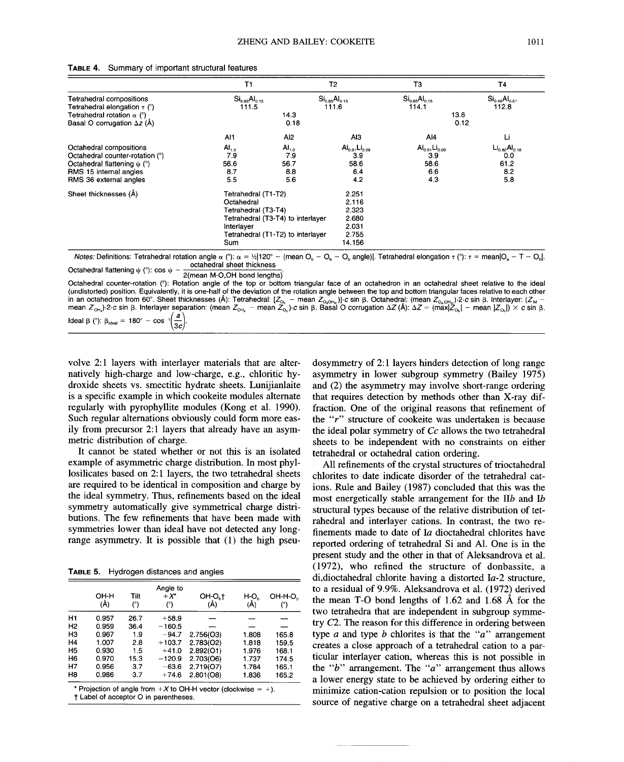|                                    | T1                   |                                   | T <sub>2</sub>                      | T <sub>3</sub>                         | Τ4                                  |
|------------------------------------|----------------------|-----------------------------------|-------------------------------------|----------------------------------------|-------------------------------------|
| Tetrahedral compositions           | $Si_{0.85}Al_{0.15}$ |                                   | $\text{Si}_{0.85} \text{Al}_{0.15}$ | $\text{Si}_{0.85}$ Al <sub>0.15</sub>  | $\text{Si}_{0.49} \text{Al}_{0.51}$ |
| Tetrahedral elongation $\tau$ (°)  | 111.5                |                                   | 111.6                               | 114.1                                  | 112.8                               |
| Tetrahedral rotation $\alpha$ (°)  |                      | 14.3                              |                                     | 13.6                                   |                                     |
| Basal O corrugation $\Delta z$ (Å) |                      | 0.18                              |                                     | 0.12                                   |                                     |
|                                    | Al1                  | Al <sub>2</sub>                   | AI3                                 | $A$ <sub>14</sub>                      | Li                                  |
| Octahedral compositions            | AI <sub>1.0</sub>    | $AI_{1,0}$                        | $Al_{0.91}Li_{0.09}$                | $\mathsf{Al}_{0.91}\mathsf{Li}_{0.09}$ | $Li_{0.82}Al_{0.18}$                |
| Octahedral counter-rotation (°)    | 7.9                  | 7.9                               | 39                                  | 3.9                                    | 0.0                                 |
| Octahedral flattening $\psi$ (°)   | 56.6                 | 56.7                              | 58.6                                | 58.6                                   | 61.2                                |
| RMS 15 internal angles             | 8.7                  | 8.8                               | 6.4                                 | 6.6                                    | 8.2                                 |
| RMS 36 external angles             | 5.5                  | 5.6                               | 4.2                                 | 4.3                                    | 5.8                                 |
| Sheet thicknesses (A)              | Tetrahedral (T1-T2)  |                                   | 2.251                               |                                        |                                     |
|                                    | Octahedral           |                                   | 2.116                               |                                        |                                     |
|                                    | Tetrahedral (T3-T4)  |                                   | 2.323                               |                                        |                                     |
|                                    |                      | Tetrahedral (T3-T4) to interlayer | 2.680                               |                                        |                                     |
|                                    | Interlayer           |                                   | 2.031                               |                                        |                                     |
|                                    |                      | Tetrahedral (T1-T2) to interlayer | 2.755                               |                                        |                                     |
|                                    | Sum                  |                                   | 14.156                              |                                        |                                     |

#### **TABLE** 4. Summary of important structural features

Notes: Definitions: Tetrahedral rotation angle α (°): α = ½|120° – (mean O<sub>b</sub> – O<sub>b</sub> – O<sub>b</sub> angle)|. Tetrahedral elongation τ (°): τ = mean|O<sub>a</sub> – T – O<sub>b</sub>|. octahedral sheet thicknes Octahedral flattening  $\psi$  (°): cos  $\psi$  =

2(mean M-O,OH bond lengths)"

Octahedral counter-rotation ('): Rotation angle of the top or bottom triangular face of an octahedron in an octahedral sheet relative to the ideal (undistorted) position. Equivalently, it is one-half of the deviation of the rotation angle between the top and bottom triangular faces relative to each other in an octahedron from 60°. Sheet thicknesses (Å): Tetrahedral: [Z<sub>os</sub> – mean Z<sub>osotis</sub>)]·c sin β. Octahedral: (mean Z<sub>osotis</sub>)·2·*c* sin β. Interlayer: (Z<sub>M</sub> –<br>mean Z<sub>ots</sub>)·2·*c* sin β. Interlayer separation: (mean Z<sub>ots</sub> Ideal β (°): β<sub>ideal</sub> = 180°  $-$  cos  $\sqrt[1]{\frac{1}{36}}$ 

volve 2:1 layers with interlayer materials that are alternatively high-charge and low-charge, e.g., chloritic hydroxide sheets vs. smectitic hydrate sheets. Lunijianlaite is a specific example in which cookeite modules alternate regularly with pyrophyllite modules (Kong et aI. 1990). Such regular alternations obviously could form more easily from precursor 2:1 layers that already have an asymmetric distribution of charge.

It cannot be stated whether or not this is an isolated example of asymmetric charge distribution. In most phyllosilicates based on 2:1 layers, the two tetrahedral sheets are required to be identical in composition and charge by the ideal symmetry. Thus, refinements based on the ideal symmetry automatically give symmetrical charge distributions. The few refinements that have been made with symmetries lower than ideal have not detected any longrange asymmetry. It is possible that (1) the high pseu-

**TABLE** 5. Hydrogen distances and angles

|                | он-н<br>(Å) | Tilt<br>(°) | Angle to<br>$+ x^*$<br>(°) | OH-O <sub>rt</sub><br>(Å) | H-O.<br>(Å) | OH-H-O <sub>n</sub><br>(°) |
|----------------|-------------|-------------|----------------------------|---------------------------|-------------|----------------------------|
| H1             | 0.957       | 26.7        | $+58.9$                    |                           |             |                            |
| H <sub>2</sub> | 0.959       | 36.4        | $-160.5$                   |                           |             |                            |
| H <sub>3</sub> | 0.967       | 1.9         | $-94.7$                    | 2.756(O3)                 | 1.808       | 165.8                      |
| H <sub>4</sub> | 1.007       | 2.8         | $+103.7$                   | 2.783(O2)                 | 1.818       | 159.5                      |
| H <sub>5</sub> | 0.930       | 1.5         | $+41.0$                    | 2.892(O1)                 | 1.976       | 168.1                      |
| H <sub>6</sub> | 0.970       | 15.3        | $-120.9$                   | 2.703(O6)                 | 1.737       | 174.5                      |
| H7             | 0.956       | 3.7         | $-63.6$                    | 2.719(O7)                 | 1.784       | 165.1                      |
| H <sub>8</sub> | 0.986       | 3.7         | $+74.6$                    | 2.801(08)                 | 1.836       | 165.2                      |

t Label of acceptor 0 in parentheses.

dosymmetry of 2:1 layers hinders detection of long range asymmetry in lower subgroup symmetry (Bailey 1975) and (2) the asymmetry may involve short-range ordering that requires detection by methods other than X-ray diffraction. One of the original reasons that refinement of the *"r"* structure of cookeite was undertaken is because the ideal polar symmetry of Cc allows the two tetrahedral sheets to be independent with no constraints on either tetrahedral or octahedral cation ordering.

All refinements of the crystal structures of trioctahedral chlorites to date indicate disorder of the tetrahedral cations. Rule and Bailey (1987) concluded that this was the most energetically stable arrangement for the IIb and Ib structural types because of the relative distribution of tetrahedral and interlayer cations. In contrast, the two refinements made to date of *Ia* dioctahedral chlorites have reported ordering of tetrahedral Si and AI. One is in the present study and the other in that of Aleksandrova et al. (1972), who refined the structure of donbassite, a di,dioctahedral chlorite having a distorted *Ia-2* structure, to a residual of 9.9%. Aleksandrova et al. (1972) derived the mean T-0 bond lengths of 1.62 and 1.68 A for the two tetrahedra that are independent in subgroup symmetry *C2.* The reason for this difference in ordering between type *a* and type *b* chlorites is that the *"a"* arrangement creates a close approach of a tetrahedral cation to a particular interlayer cation, whereas this is not possible in the *"b"* arrangement. The *"a"* arrangement thus allows a lower energy state to be achieved by ordering either to minimize cation-cation repulsion or to position the local source of negative charge on a tetrahedral sheet adjacent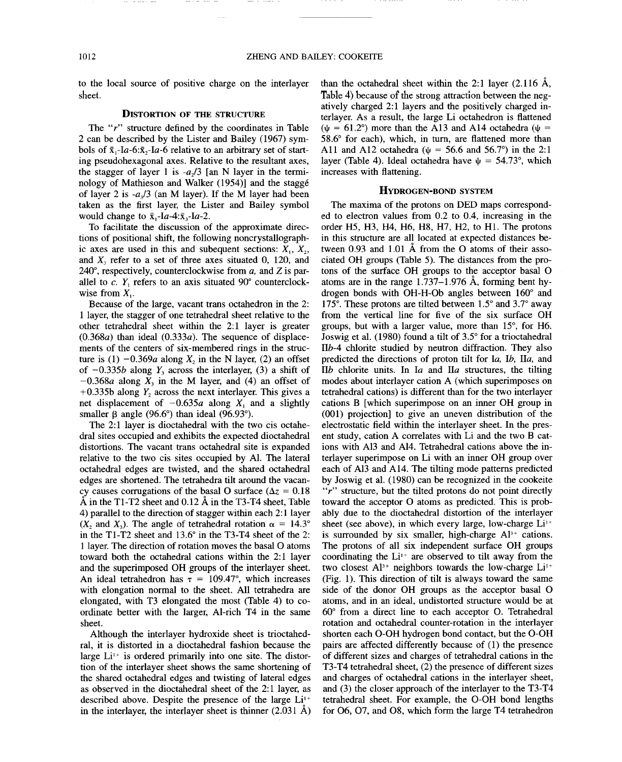to the local source of positive charge on the interlayer sheet.

## DISTORTION OF THE STRUCTURE

The *"r"* structure defined by the coordinates in Table 2 can be described by the Lister and Bailey (1967) symbols of  $\bar{x}_1$ -Ia-6: $\bar{x}_2$ -Ia-6 relative to an arbitrary set of starting pseudohexagonal axes. Relative to the resultant axes, the stagger of layer 1 is  $-a_2/3$  [an N layer in the terminology of Mathieson and Walker (1954)] and the stagge of layer 2 is *-a/3* (an M layer). If the M layer had been taken as the first layer, the Lister and Bailey symbol would change to  $\bar{x}$ -Ia-4: $\bar{x}$ -Ia-2.

To facilitate the discussion of the approximate directions of positional shift, the following noncrystallographic axes are used in this and subequent sections:  $X_1, X_2, \dots$ and  $X<sub>3</sub>$  refer to a set of three axes situated 0, 120, and 240°, respectively, counterclockwise from *a,* and Z is parallel to  $c$ .  $Y_1$  refers to an axis situated  $90^\circ$  counterclockwise from  $X_i$ .

Because of the large, vacant trans octahedron in the 2: 1 layer, the stagger of one tetrahedral sheet relative to the other tetrahedral sheet within the 2:1 layer is greater *(0.368a)* than ideal *(0.333a).* The sequence of displacements of the centers of six-membered rings in the structure is (1)  $-0.369a$  along X<sub>2</sub> in the N layer, (2) an offset of  $-0.335b$  along  $Y_3$  across the interlayer, (3) a shift of  $-0.368a$  along  $X_3$  in the M layer, and (4) an offset of  $+0.335b$  along  $Y_2$  across the next interlayer. This gives a net displacement of  $-0.635a$  along  $X_1$  and a slightly smaller  $\beta$  angle (96.6°) than ideal (96.93°).

The 2:1 layer is dioctahedral with the two cis octahedral sites occupied and exhibits the expected dioctahedral distortions. The vacant trans octahedral site is expanded relative to the two cis sites occupied by AI. The lateral octahedral edges are twisted, and the shared octahedral edges are shortened. The tetrahedra tilt around the vacancy causes corrugations of the basal O surface ( $\Delta z = 0.18$ )  $\AA$  in the T1-T2 sheet and 0.12  $\AA$  in the T3-T4 sheet, Table 4) parallel to the direction of stagger within each 2: 1 layer  $(X_2 \text{ and } X_3)$ . The angle of tetrahedral rotation  $\alpha = 14.3^\circ$ in the Tl-T2 sheet and 13.6° in the T3-T4 sheet of the 2: 1 layer. The direction of rotation moves the basal 0 atoms toward both the octahedral cations within the 2:1 layer and the superimposed OH groups of the interlayer sheet. An ideal tetrahedron has  $\tau = 109.47^{\circ}$ , which increases with elongation normal to the sheet. All tetrahedra are elongated, with T3 elongated the most (Table 4) to coordinate better with the larger, AI-rich T4 in the same sheet.

Although the interlayer hydroxide sheet is trioctahedral, it is distorted in a dioctahedral fashion because the large  $Li^{1+}$  is ordered primarily into one site. The distortion of the interlayer sheet shows the same shortening of the shared octahedral edges and twisting of lateral edges as observed in the dioctahedral sheet of the 2:1 layer, as described above. Despite the presence of the large  $Li^{+}$ in the interlayer, the interlayer sheet is thinner (2.031 A)

than the octahedral sheet within the 2:1 layer  $(2.116 \text{ Å})$ , Table 4) because of the strong attraction between the negatively charged 2:1 layers and the positively charged interlayer. As a result, the large Li octahedron is flattened ( $\psi$  = 61.2°) more than the A13 and A14 octahedra ( $\psi$  = 58.6° for each), which, in turn, are flattened more than All and A12 octahedra ( $\psi = 56.6$  and 56.7°) in the 2:1 layer (Table 4). Ideal octahedra have  $\psi = 54.73^{\circ}$ , which increases with flattening.

## HYDROGEN-BOND SYSTEM

The maxima of the protons on DED maps corresponded to electron values from 0.2 to 0.4, increasing in the order H5, H3, H4, H6, H8, H7, H2, to HI. The protons in this structure are all located at expected distances between 0.93 and 1.01 A from the <sup>0</sup> atoms of their associated OH groups (Table 5). The distances from the protons of the surface OH groups to the acceptor basal 0 atoms are in the range 1.737-1.976 A, forming bent hydrogen bonds with OH-H-Ob angles between 160° and 175°. These protons are tilted between 1.5° and 3.7° away from the vertical line for five of the six surface OH groups, but with a larger value, more than 15°, for H6. Joswig et aI. (1980) found a tilt of 3.5° for a trioctahedral *IIb-4* chlorite studied by neutron diffraction. They also predicted the directions of proton tilt for la, *Ib,* lIa, and  $IIb$  chlorite units. In  $Ia$  and  $IIa$  structures, the tilting modes about interlayer cation A (which superimposes on tetrahedral cations) is different than for the two interlayer cations B [which superimpose on an inner OH group in (001) projection] to give an uneven distribution of the electrostatic field within the interlayer sheet. In the present study, cation A correlates with Li and the two B cations with A13 and A14. Tetrahedral cations above the interlayer superimpose on Li with an inner OH group over each of A13 and A14. The tilting mode patterns predicted by Joswig et aI. (1980) can be recognized in the cookeite *"r"* structure, but the tilted protons do not point directly toward the acceptor 0 atoms as predicted. This is probably due to the dioctahedral distortion of the interlayer sheet (see above), in which every large, low-charge  $Li^{+}$ is surrounded by six smaller, high-charge  $A^{3+}$  cations. The protons of all six independent surface OH groups coordinating the  $Li^{1+}$  are observed to tilt away from the two closest  $Al^{3+}$  neighbors towards the low-charge  $Li^{1+}$ (Fig. 1). This direction of tilt is always toward the same side of the donor OH groups as the acceptor basal 0 atoms, and in an ideal, undistorted structure would be at 60° from a direct line to each acceptor O. Tetrahedral rotation and octahedral counter-rotation in the interlayer shorten each O-OH hydrogen bond contact, but the O-OH pairs are affected differently because of (1) the presence of different sizes and charges of tetrahedral cations in the T3- T4 tetrahedral sheet, (2) the presence of different sizes and charges of octahedral cations in the interlayer sheet, and (3) the closer approach of the interlayer to the T3-T4 tetrahedral sheet. For example, the O-OH bond lengths for 06,07, and 08, which form the large T4 tetrahedron